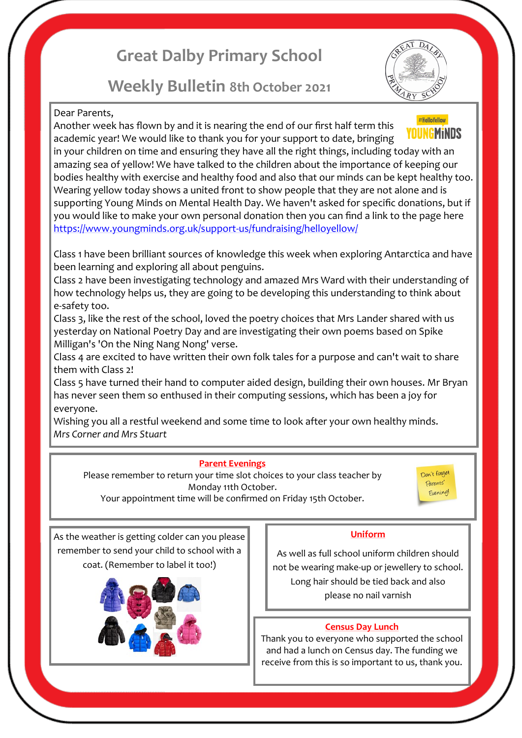# **Great Dalby Primary School**

## **Weekly Bulletin 8th October 2021**



#### Dear Parents,

#HelloYellow Another week has flown by and it is nearing the end of our first half term this YOUNGMiNDS academic year! We would like to thank you for your support to date, bringing in your children on time and ensuring they have all the right things, including today with an amazing sea of yellow! We have talked to the children about the importance of keeping our bodies healthy with exercise and healthy food and also that our minds can be kept healthy too. Wearing yellow today shows a united front to show people that they are not alone and is supporting Young Minds on Mental Health Day. We haven't asked for specific donations, but if you would like to make your own personal donation then you can find a link to the page here [https://www.youngminds.org.uk/support](https://www.youngminds.org.uk/support-us/fundraising/helloyellow/)-us/fundraising/helloyellow/

Class 1 have been brilliant sources of knowledge this week when exploring Antarctica and have been learning and exploring all about penguins.

Class 2 have been investigating technology and amazed Mrs Ward with their understanding of how technology helps us, they are going to be developing this understanding to think about e-safety too.

Class 3, like the rest of the school, loved the poetry choices that Mrs Lander shared with us yesterday on National Poetry Day and are investigating their own poems based on Spike Milligan's 'On the Ning Nang Nong' verse.

Class 4 are excited to have written their own folk tales for a purpose and can't wait to share them with Class 2!

Class 5 have turned their hand to computer aided design, building their own houses. Mr Bryan has never seen them so enthused in their computing sessions, which has been a joy for everyone.

Wishing you all a restful weekend and some time to look after your own healthy minds. *Mrs Corner and Mrs Stuart*

#### **Parent Evenings**

Please remember to return your time slot choices to your class teacher by Monday 11th October. Your appointment time will be confirmed on Friday 15th October.

Don't forget Parents' Evening!

As the weather is getting colder can you please remember to send your child to school with a coat. (Remember to label it too!)



#### **Uniform**

As well as full school uniform children should not be wearing make-up or jewellery to school. Long hair should be tied back and also please no nail varnish

#### **Census Day Lunch**

Thank you to everyone who supported the school and had a lunch on Census day. The funding we receive from this is so important to us, thank you.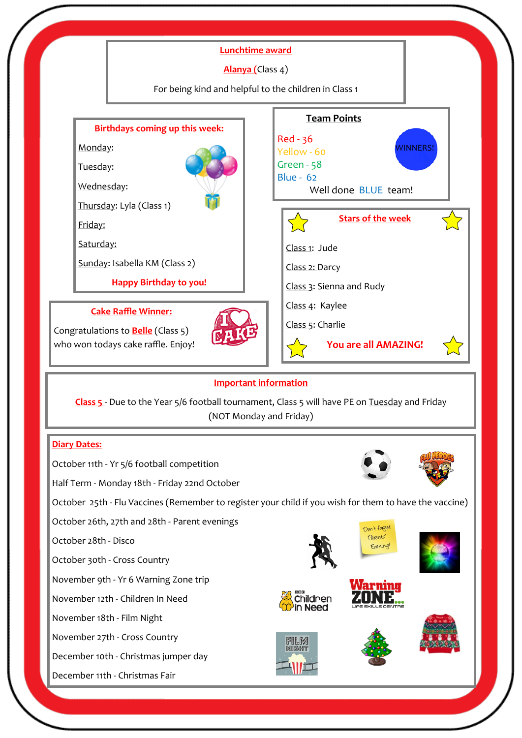

#### **Important information**

**Class 5** - Due to the Year 5/6 football tournament, Class 5 will have PE on Tuesday and Friday (NOT Monday and Friday)